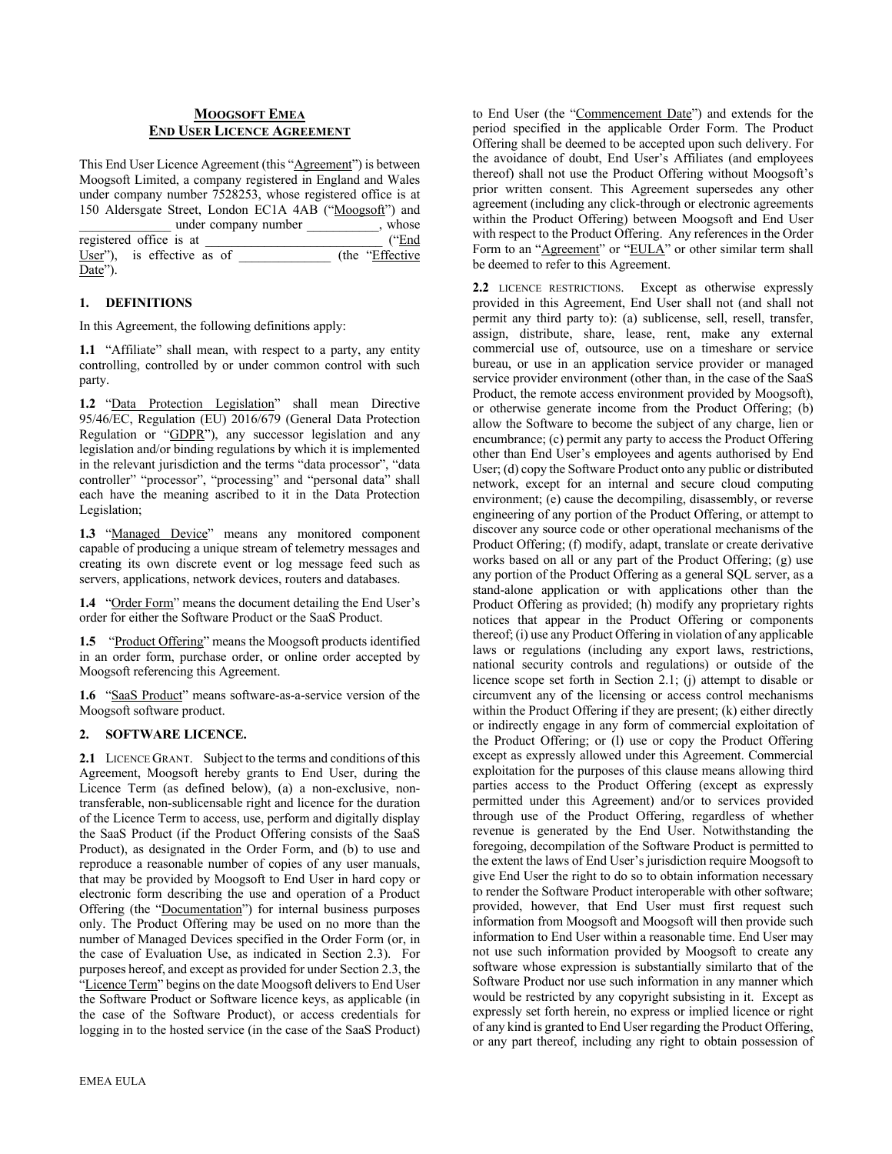#### **MOOGSOFT EMEA END USER LICENCE AGREEMENT**

This End User Licence Agreement (this "Agreement") is between Moogsoft Limited, a company registered in England and Wales under company number 7528253, whose registered office is at 150 Aldersgate Street, London EC1A 4AB ("Moogsoft") and under company number whose under company number \_\_\_\_\_ registered office is at  $\overline{\phantom{a}}$  ("End") User"), is effective as of  $($ the "Effective Date").

#### **1. DEFINITIONS**

In this Agreement, the following definitions apply:

**1.1** "Affiliate" shall mean, with respect to a party, any entity controlling, controlled by or under common control with such party.

**1.2** "Data Protection Legislation" shall mean Directive 95/46/EC, Regulation (EU) 2016/679 (General Data Protection Regulation or "GDPR"), any successor legislation and any legislation and/or binding regulations by which it is implemented in the relevant jurisdiction and the terms "data processor", "data controller" "processor", "processing" and "personal data" shall each have the meaning ascribed to it in the Data Protection Legislation;

1.3 "Managed Device" means any monitored component capable of producing a unique stream of telemetry messages and creating its own discrete event or log message feed such as servers, applications, network devices, routers and databases.

**1.4** "Order Form" means the document detailing the End User's order for either the Software Product or the SaaS Product.

**1.5** "Product Offering" means the Moogsoft products identified in an order form, purchase order, or online order accepted by Moogsoft referencing this Agreement.

**1.6** "SaaS Product" means software-as-a-service version of the Moogsoft software product.

## **2. SOFTWARE LICENCE.**

**2.1** LICENCE GRANT. Subject to the terms and conditions of this Agreement, Moogsoft hereby grants to End User, during the Licence Term (as defined below), (a) a non-exclusive, nontransferable, non-sublicensable right and licence for the duration of the Licence Term to access, use, perform and digitally display the SaaS Product (if the Product Offering consists of the SaaS Product), as designated in the Order Form, and (b) to use and reproduce a reasonable number of copies of any user manuals, that may be provided by Moogsoft to End User in hard copy or electronic form describing the use and operation of a Product Offering (the "Documentation") for internal business purposes only. The Product Offering may be used on no more than the number of Managed Devices specified in the Order Form (or, in the case of Evaluation Use, as indicated in Section 2.3). For purposes hereof, and except as provided for under Section 2.3, the "Licence Term" begins on the date Moogsoft delivers to End User the Software Product or Software licence keys, as applicable (in the case of the Software Product), or access credentials for logging in to the hosted service (in the case of the SaaS Product) to End User (the "Commencement Date") and extends for the period specified in the applicable Order Form. The Product Offering shall be deemed to be accepted upon such delivery. For the avoidance of doubt, End User's Affiliates (and employees thereof) shall not use the Product Offering without Moogsoft's prior written consent. This Agreement supersedes any other agreement (including any click-through or electronic agreements within the Product Offering) between Moogsoft and End User with respect to the Product Offering. Any references in the Order Form to an "Agreement" or "EULA" or other similar term shall be deemed to refer to this Agreement.

**2.2** LICENCE RESTRICTIONS. Except as otherwise expressly provided in this Agreement, End User shall not (and shall not permit any third party to): (a) sublicense, sell, resell, transfer, assign, distribute, share, lease, rent, make any external commercial use of, outsource, use on a timeshare or service bureau, or use in an application service provider or managed service provider environment (other than, in the case of the SaaS Product, the remote access environment provided by Moogsoft), or otherwise generate income from the Product Offering; (b) allow the Software to become the subject of any charge, lien or encumbrance; (c) permit any party to access the Product Offering other than End User's employees and agents authorised by End User; (d) copy the Software Product onto any public or distributed network, except for an internal and secure cloud computing environment; (e) cause the decompiling, disassembly, or reverse engineering of any portion of the Product Offering, or attempt to discover any source code or other operational mechanisms of the Product Offering; (f) modify, adapt, translate or create derivative works based on all or any part of the Product Offering; (g) use any portion of the Product Offering as a general SQL server, as a stand-alone application or with applications other than the Product Offering as provided; (h) modify any proprietary rights notices that appear in the Product Offering or components thereof; (i) use any Product Offering in violation of any applicable laws or regulations (including any export laws, restrictions, national security controls and regulations) or outside of the licence scope set forth in Section 2.1; (j) attempt to disable or circumvent any of the licensing or access control mechanisms within the Product Offering if they are present; (k) either directly or indirectly engage in any form of commercial exploitation of the Product Offering; or (l) use or copy the Product Offering except as expressly allowed under this Agreement. Commercial exploitation for the purposes of this clause means allowing third parties access to the Product Offering (except as expressly permitted under this Agreement) and/or to services provided through use of the Product Offering, regardless of whether revenue is generated by the End User. Notwithstanding the foregoing, decompilation of the Software Product is permitted to the extent the laws of End User's jurisdiction require Moogsoft to give End User the right to do so to obtain information necessary to render the Software Product interoperable with other software; provided, however, that End User must first request such information from Moogsoft and Moogsoft will then provide such information to End User within a reasonable time. End User may not use such information provided by Moogsoft to create any software whose expression is substantially similarto that of the Software Product nor use such information in any manner which would be restricted by any copyright subsisting in it. Except as expressly set forth herein, no express or implied licence or right of any kind is granted to End User regarding the Product Offering, or any part thereof, including any right to obtain possession of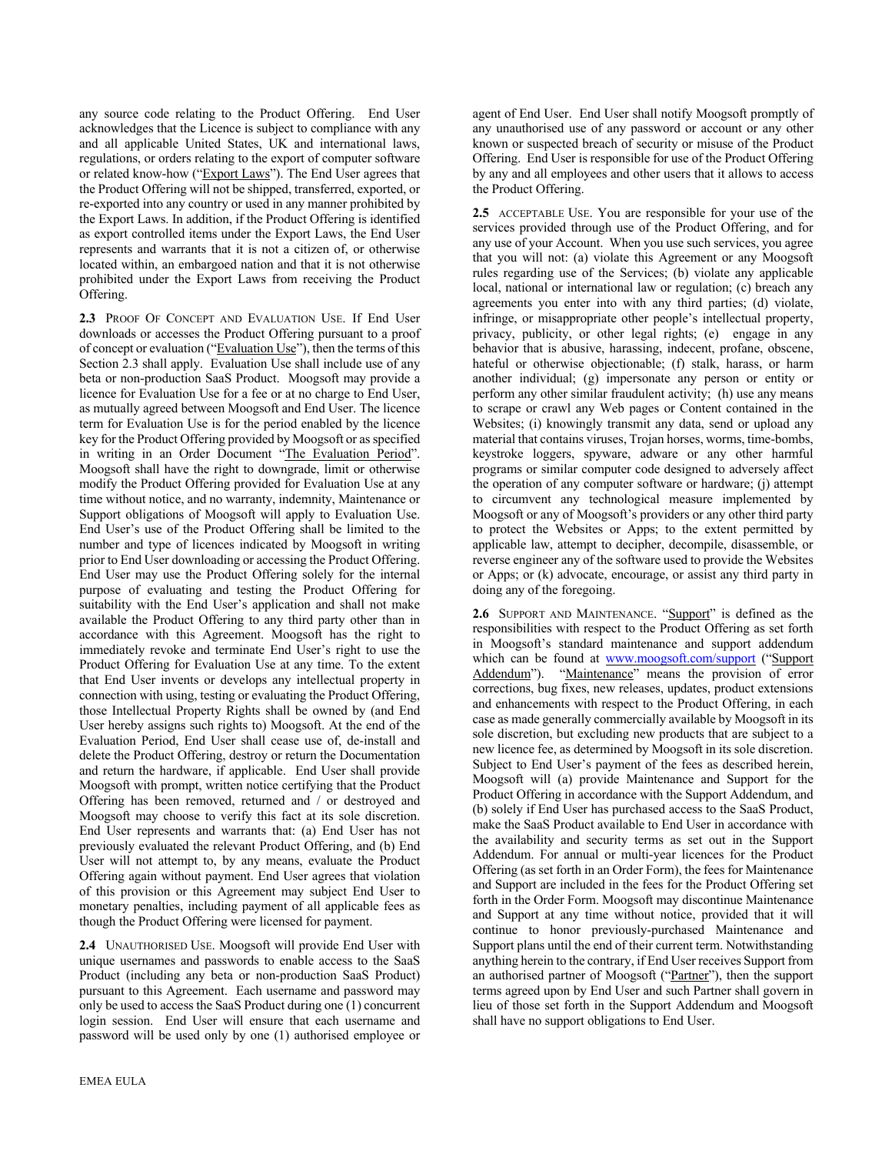any source code relating to the Product Offering. End User acknowledges that the Licence is subject to compliance with any and all applicable United States, UK and international laws, regulations, or orders relating to the export of computer software or related know-how ("Export Laws"). The End User agrees that the Product Offering will not be shipped, transferred, exported, or re-exported into any country or used in any manner prohibited by the Export Laws. In addition, if the Product Offering is identified as export controlled items under the Export Laws, the End User represents and warrants that it is not a citizen of, or otherwise located within, an embargoed nation and that it is not otherwise prohibited under the Export Laws from receiving the Product Offering.

**2.3** PROOF OF CONCEPT AND EVALUATION USE. If End User downloads or accesses the Product Offering pursuant to a proof of concept or evaluation ("Evaluation Use"), then the terms of this Section 2.3 shall apply. Evaluation Use shall include use of any beta or non-production SaaS Product. Moogsoft may provide a licence for Evaluation Use for a fee or at no charge to End User, as mutually agreed between Moogsoft and End User. The licence term for Evaluation Use is for the period enabled by the licence key for the Product Offering provided by Moogsoft or as specified in writing in an Order Document "The Evaluation Period". Moogsoft shall have the right to downgrade, limit or otherwise modify the Product Offering provided for Evaluation Use at any time without notice, and no warranty, indemnity, Maintenance or Support obligations of Moogsoft will apply to Evaluation Use. End User's use of the Product Offering shall be limited to the number and type of licences indicated by Moogsoft in writing prior to End User downloading or accessing the Product Offering. End User may use the Product Offering solely for the internal purpose of evaluating and testing the Product Offering for suitability with the End User's application and shall not make available the Product Offering to any third party other than in accordance with this Agreement. Moogsoft has the right to immediately revoke and terminate End User's right to use the Product Offering for Evaluation Use at any time. To the extent that End User invents or develops any intellectual property in connection with using, testing or evaluating the Product Offering, those Intellectual Property Rights shall be owned by (and End User hereby assigns such rights to) Moogsoft. At the end of the Evaluation Period, End User shall cease use of, de-install and delete the Product Offering, destroy or return the Documentation and return the hardware, if applicable. End User shall provide Moogsoft with prompt, written notice certifying that the Product Offering has been removed, returned and / or destroyed and Moogsoft may choose to verify this fact at its sole discretion. End User represents and warrants that: (a) End User has not previously evaluated the relevant Product Offering, and (b) End User will not attempt to, by any means, evaluate the Product Offering again without payment. End User agrees that violation of this provision or this Agreement may subject End User to monetary penalties, including payment of all applicable fees as though the Product Offering were licensed for payment.

**2.4** UNAUTHORISED USE. Moogsoft will provide End User with unique usernames and passwords to enable access to the SaaS Product (including any beta or non-production SaaS Product) pursuant to this Agreement. Each username and password may only be used to access the SaaS Product during one (1) concurrent login session. End User will ensure that each username and password will be used only by one (1) authorised employee or

agent of End User. End User shall notify Moogsoft promptly of any unauthorised use of any password or account or any other known or suspected breach of security or misuse of the Product Offering. End User is responsible for use of the Product Offering by any and all employees and other users that it allows to access the Product Offering.

**2.5** ACCEPTABLE USE. You are responsible for your use of the services provided through use of the Product Offering, and for any use of your Account. When you use such services, you agree that you will not: (a) violate this Agreement or any Moogsoft rules regarding use of the Services; (b) violate any applicable local, national or international law or regulation; (c) breach any agreements you enter into with any third parties; (d) violate, infringe, or misappropriate other people's intellectual property, privacy, publicity, or other legal rights; (e) engage in any behavior that is abusive, harassing, indecent, profane, obscene, hateful or otherwise objectionable; (f) stalk, harass, or harm another individual; (g) impersonate any person or entity or perform any other similar fraudulent activity; (h) use any means to scrape or crawl any Web pages or Content contained in the Websites; (i) knowingly transmit any data, send or upload any material that contains viruses, Trojan horses, worms, time-bombs, keystroke loggers, spyware, adware or any other harmful programs or similar computer code designed to adversely affect the operation of any computer software or hardware; (j) attempt to circumvent any technological measure implemented by Moogsoft or any of Moogsoft's providers or any other third party to protect the Websites or Apps; to the extent permitted by applicable law, attempt to decipher, decompile, disassemble, or reverse engineer any of the software used to provide the Websites or Apps; or (k) advocate, encourage, or assist any third party in doing any of the foregoing.

2.6 SUPPORT AND MAINTENANCE. "Support" is defined as the responsibilities with respect to the Product Offering as set forth in Moogsoft's standard maintenance and support addendum which can be found at www.moogsoft.com/support ("Support Addendum"). "Maintenance" means the provision of error corrections, bug fixes, new releases, updates, product extensions and enhancements with respect to the Product Offering, in each case as made generally commercially available by Moogsoft in its sole discretion, but excluding new products that are subject to a new licence fee, as determined by Moogsoft in its sole discretion. Subject to End User's payment of the fees as described herein, Moogsoft will (a) provide Maintenance and Support for the Product Offering in accordance with the Support Addendum, and (b) solely if End User has purchased access to the SaaS Product, make the SaaS Product available to End User in accordance with the availability and security terms as set out in the Support Addendum. For annual or multi-year licences for the Product Offering (as set forth in an Order Form), the fees for Maintenance and Support are included in the fees for the Product Offering set forth in the Order Form. Moogsoft may discontinue Maintenance and Support at any time without notice, provided that it will continue to honor previously-purchased Maintenance and Support plans until the end of their current term. Notwithstanding anything herein to the contrary, if End User receives Support from an authorised partner of Moogsoft ("Partner"), then the support terms agreed upon by End User and such Partner shall govern in lieu of those set forth in the Support Addendum and Moogsoft shall have no support obligations to End User.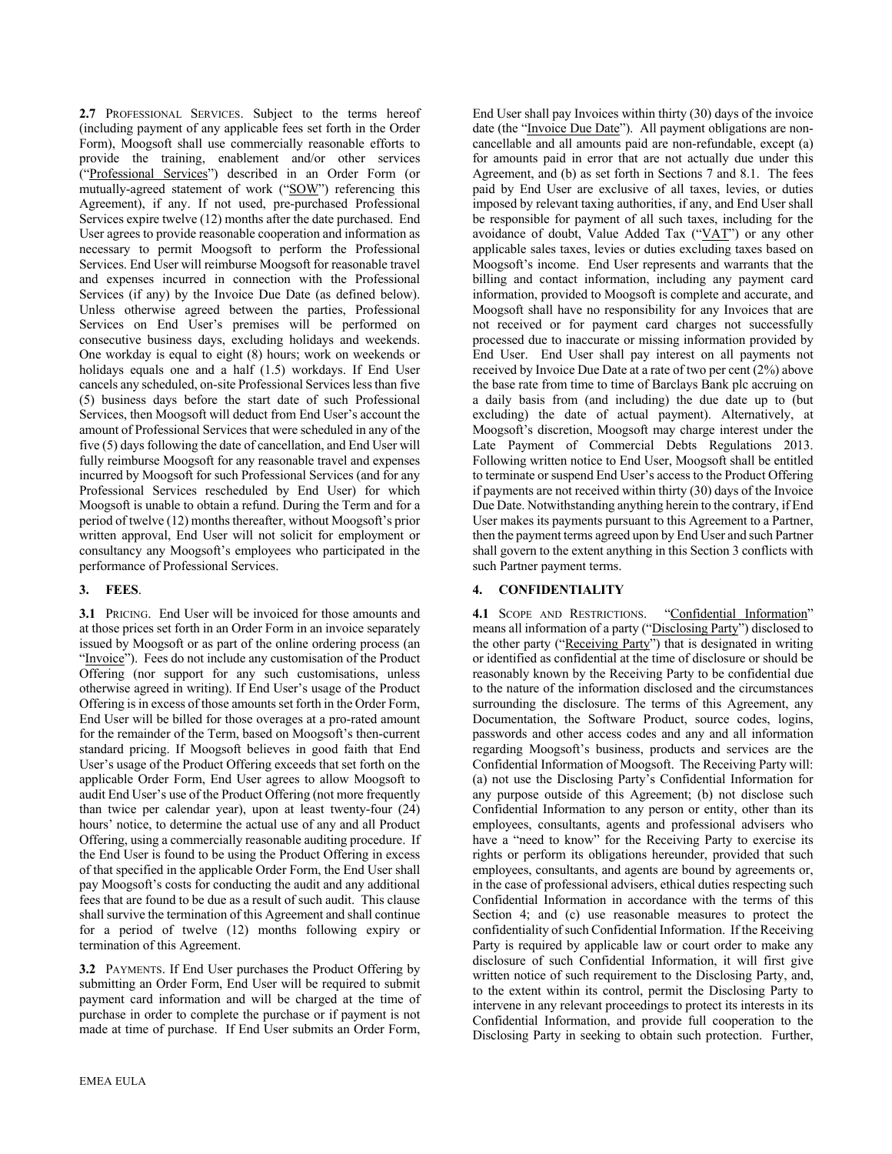**2.7** PROFESSIONAL SERVICES. Subject to the terms hereof (including payment of any applicable fees set forth in the Order Form), Moogsoft shall use commercially reasonable efforts to provide the training, enablement and/or other services ("Professional Services") described in an Order Form (or mutually-agreed statement of work ("SOW") referencing this Agreement), if any. If not used, pre-purchased Professional Services expire twelve (12) months after the date purchased. End User agrees to provide reasonable cooperation and information as necessary to permit Moogsoft to perform the Professional Services. End User will reimburse Moogsoft for reasonable travel and expenses incurred in connection with the Professional Services (if any) by the Invoice Due Date (as defined below). Unless otherwise agreed between the parties, Professional Services on End User's premises will be performed on consecutive business days, excluding holidays and weekends. One workday is equal to eight (8) hours; work on weekends or holidays equals one and a half (1.5) workdays. If End User cancels any scheduled, on-site Professional Services less than five (5) business days before the start date of such Professional Services, then Moogsoft will deduct from End User's account the amount of Professional Services that were scheduled in any of the five (5) days following the date of cancellation, and End User will fully reimburse Moogsoft for any reasonable travel and expenses incurred by Moogsoft for such Professional Services (and for any Professional Services rescheduled by End User) for which Moogsoft is unable to obtain a refund. During the Term and for a period of twelve (12) months thereafter, without Moogsoft's prior written approval, End User will not solicit for employment or consultancy any Moogsoft's employees who participated in the performance of Professional Services.

#### **3. FEES**.

**3.1** PRICING. End User will be invoiced for those amounts and at those prices set forth in an Order Form in an invoice separately issued by Moogsoft or as part of the online ordering process (an "Invoice"). Fees do not include any customisation of the Product Offering (nor support for any such customisations, unless otherwise agreed in writing). If End User's usage of the Product Offering is in excess of those amounts set forth in the Order Form, End User will be billed for those overages at a pro-rated amount for the remainder of the Term, based on Moogsoft's then-current standard pricing. If Moogsoft believes in good faith that End User's usage of the Product Offering exceeds that set forth on the applicable Order Form, End User agrees to allow Moogsoft to audit End User's use of the Product Offering (not more frequently than twice per calendar year), upon at least twenty-four (24) hours' notice, to determine the actual use of any and all Product Offering, using a commercially reasonable auditing procedure. If the End User is found to be using the Product Offering in excess of that specified in the applicable Order Form, the End User shall pay Moogsoft's costs for conducting the audit and any additional fees that are found to be due as a result of such audit. This clause shall survive the termination of this Agreement and shall continue for a period of twelve (12) months following expiry or termination of this Agreement.

**3.2** PAYMENTS. If End User purchases the Product Offering by submitting an Order Form, End User will be required to submit payment card information and will be charged at the time of purchase in order to complete the purchase or if payment is not made at time of purchase. If End User submits an Order Form,

End User shall pay Invoices within thirty (30) days of the invoice date (the "Invoice Due Date"). All payment obligations are noncancellable and all amounts paid are non-refundable, except (a) for amounts paid in error that are not actually due under this Agreement, and (b) as set forth in Sections 7 and 8.1. The fees paid by End User are exclusive of all taxes, levies, or duties imposed by relevant taxing authorities, if any, and End User shall be responsible for payment of all such taxes, including for the avoidance of doubt, Value Added Tax (" $\sqrt{A(T)}$ ") or any other applicable sales taxes, levies or duties excluding taxes based on Moogsoft's income. End User represents and warrants that the billing and contact information, including any payment card information, provided to Moogsoft is complete and accurate, and Moogsoft shall have no responsibility for any Invoices that are not received or for payment card charges not successfully processed due to inaccurate or missing information provided by End User. End User shall pay interest on all payments not received by Invoice Due Date at a rate of two per cent (2%) above the base rate from time to time of Barclays Bank plc accruing on a daily basis from (and including) the due date up to (but excluding) the date of actual payment). Alternatively, at Moogsoft's discretion, Moogsoft may charge interest under the Late Payment of Commercial Debts Regulations 2013. Following written notice to End User, Moogsoft shall be entitled to terminate or suspend End User's access to the Product Offering if payments are not received within thirty (30) days of the Invoice Due Date. Notwithstanding anything herein to the contrary, if End User makes its payments pursuant to this Agreement to a Partner, then the payment terms agreed upon by End User and such Partner shall govern to the extent anything in this Section 3 conflicts with such Partner payment terms.

#### **4. CONFIDENTIALITY**

4.1 SCOPE AND RESTRICTIONS. "Confidential Information" means all information of a party ("Disclosing Party") disclosed to the other party ("Receiving Party") that is designated in writing or identified as confidential at the time of disclosure or should be reasonably known by the Receiving Party to be confidential due to the nature of the information disclosed and the circumstances surrounding the disclosure. The terms of this Agreement, any Documentation, the Software Product, source codes, logins, passwords and other access codes and any and all information regarding Moogsoft's business, products and services are the Confidential Information of Moogsoft. The Receiving Party will: (a) not use the Disclosing Party's Confidential Information for any purpose outside of this Agreement; (b) not disclose such Confidential Information to any person or entity, other than its employees, consultants, agents and professional advisers who have a "need to know" for the Receiving Party to exercise its rights or perform its obligations hereunder, provided that such employees, consultants, and agents are bound by agreements or, in the case of professional advisers, ethical duties respecting such Confidential Information in accordance with the terms of this Section 4; and (c) use reasonable measures to protect the confidentiality of such Confidential Information. If the Receiving Party is required by applicable law or court order to make any disclosure of such Confidential Information, it will first give written notice of such requirement to the Disclosing Party, and, to the extent within its control, permit the Disclosing Party to intervene in any relevant proceedings to protect its interests in its Confidential Information, and provide full cooperation to the Disclosing Party in seeking to obtain such protection. Further,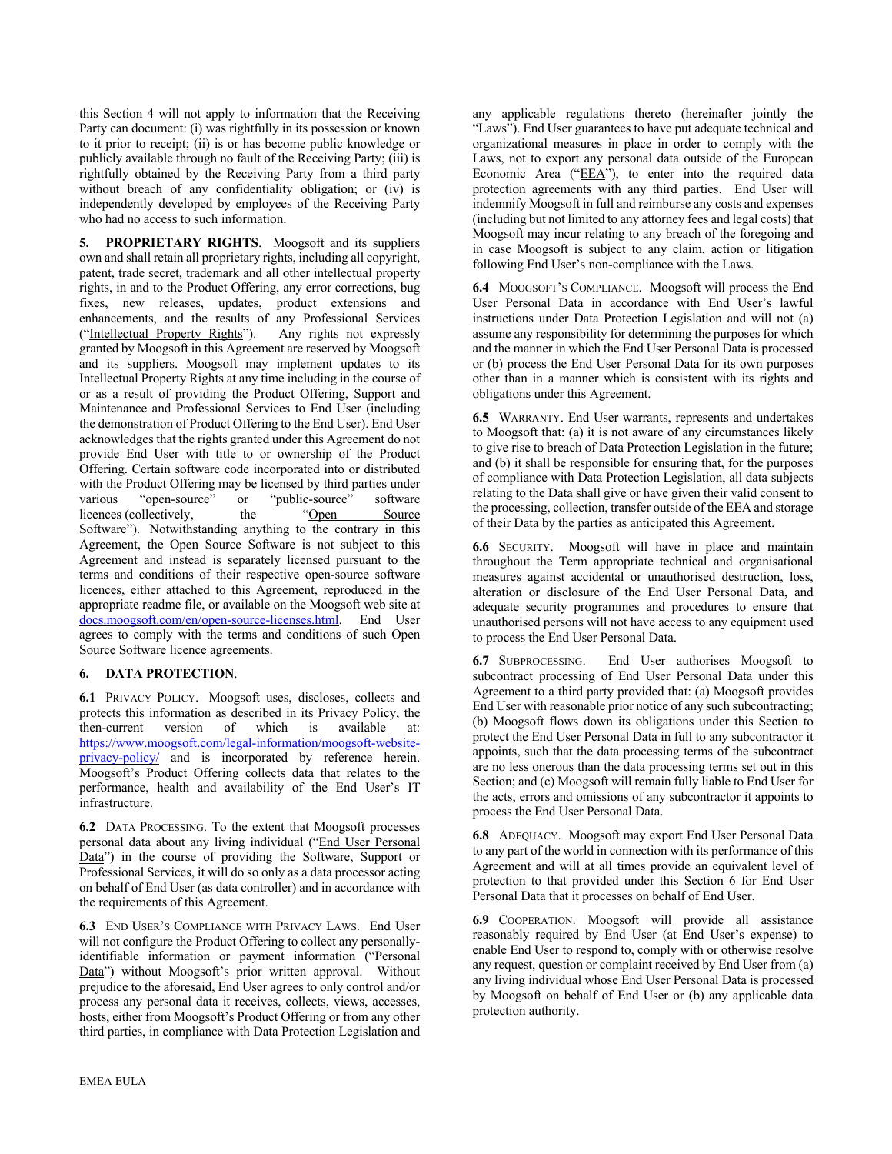this Section 4 will not apply to information that the Receiving Party can document: (i) was rightfully in its possession or known to it prior to receipt; (ii) is or has become public knowledge or publicly available through no fault of the Receiving Party; (iii) is rightfully obtained by the Receiving Party from a third party without breach of any confidentiality obligation; or (iv) is independently developed by employees of the Receiving Party who had no access to such information.

**5. PROPRIETARY RIGHTS**. Moogsoft and its suppliers own and shall retain all proprietary rights, including all copyright, patent, trade secret, trademark and all other intellectual property rights, in and to the Product Offering, any error corrections, bug fixes, new releases, updates, product extensions and enhancements, and the results of any Professional Services ("Intellectual Property Rights"). Any rights not expressly granted by Moogsoft in this Agreement are reserved by Moogsoft and its suppliers. Moogsoft may implement updates to its Intellectual Property Rights at any time including in the course of or as a result of providing the Product Offering, Support and Maintenance and Professional Services to End User (including the demonstration of Product Offering to the End User). End User acknowledges that the rights granted under this Agreement do not provide End User with title to or ownership of the Product Offering. Certain software code incorporated into or distributed with the Product Offering may be licensed by third parties under various "open-source" or "public-source" software licences (collectively, the "Open Source" Software"). Notwithstanding anything to the contrary in this Agreement, the Open Source Software is not subject to this Agreement and instead is separately licensed pursuant to the terms and conditions of their respective open-source software licences, either attached to this Agreement, reproduced in the appropriate readme file, or available on the Moogsoft web site at docs.moogsoft.com/en/open-source-licenses.html. End User agrees to comply with the terms and conditions of such Open Source Software licence agreements.

#### **6. DATA PROTECTION**.

**6.1** PRIVACY POLICY. Moogsoft uses, discloses, collects and protects this information as described in its Privacy Policy, the then-current version of which is available at: https://www.moogsoft.com/legal-information/moogsoft-websiteprivacy-policy/ and is incorporated by reference herein. Moogsoft's Product Offering collects data that relates to the performance, health and availability of the End User's IT infrastructure.

**6.2** DATA PROCESSING. To the extent that Moogsoft processes personal data about any living individual ("End User Personal Data") in the course of providing the Software, Support or Professional Services, it will do so only as a data processor acting on behalf of End User (as data controller) and in accordance with the requirements of this Agreement.

**6.3** END USER'S COMPLIANCE WITH PRIVACY LAWS. End User will not configure the Product Offering to collect any personallyidentifiable information or payment information ("Personal Data") without Moogsoft's prior written approval. Without prejudice to the aforesaid, End User agrees to only control and/or process any personal data it receives, collects, views, accesses, hosts, either from Moogsoft's Product Offering or from any other third parties, in compliance with Data Protection Legislation and

any applicable regulations thereto (hereinafter jointly the "Laws"). End User guarantees to have put adequate technical and organizational measures in place in order to comply with the Laws, not to export any personal data outside of the European Economic Area ("EEA"), to enter into the required data protection agreements with any third parties. End User will indemnify Moogsoft in full and reimburse any costs and expenses (including but not limited to any attorney fees and legal costs) that Moogsoft may incur relating to any breach of the foregoing and in case Moogsoft is subject to any claim, action or litigation following End User's non-compliance with the Laws.

**6.4** MOOGSOFT'S COMPLIANCE. Moogsoft will process the End User Personal Data in accordance with End User's lawful instructions under Data Protection Legislation and will not (a) assume any responsibility for determining the purposes for which and the manner in which the End User Personal Data is processed or (b) process the End User Personal Data for its own purposes other than in a manner which is consistent with its rights and obligations under this Agreement.

**6.5** WARRANTY. End User warrants, represents and undertakes to Moogsoft that: (a) it is not aware of any circumstances likely to give rise to breach of Data Protection Legislation in the future; and (b) it shall be responsible for ensuring that, for the purposes of compliance with Data Protection Legislation, all data subjects relating to the Data shall give or have given their valid consent to the processing, collection, transfer outside of the EEA and storage of their Data by the parties as anticipated this Agreement.

**6.6** SECURITY. Moogsoft will have in place and maintain throughout the Term appropriate technical and organisational measures against accidental or unauthorised destruction, loss, alteration or disclosure of the End User Personal Data, and adequate security programmes and procedures to ensure that unauthorised persons will not have access to any equipment used to process the End User Personal Data.

**6.7** SUBPROCESSING. End User authorises Moogsoft to subcontract processing of End User Personal Data under this Agreement to a third party provided that: (a) Moogsoft provides End User with reasonable prior notice of any such subcontracting; (b) Moogsoft flows down its obligations under this Section to protect the End User Personal Data in full to any subcontractor it appoints, such that the data processing terms of the subcontract are no less onerous than the data processing terms set out in this Section; and (c) Moogsoft will remain fully liable to End User for the acts, errors and omissions of any subcontractor it appoints to process the End User Personal Data.

**6.8** ADEQUACY. Moogsoft may export End User Personal Data to any part of the world in connection with its performance of this Agreement and will at all times provide an equivalent level of protection to that provided under this Section 6 for End User Personal Data that it processes on behalf of End User.

**6.9** COOPERATION. Moogsoft will provide all assistance reasonably required by End User (at End User's expense) to enable End User to respond to, comply with or otherwise resolve any request, question or complaint received by End User from (a) any living individual whose End User Personal Data is processed by Moogsoft on behalf of End User or (b) any applicable data protection authority.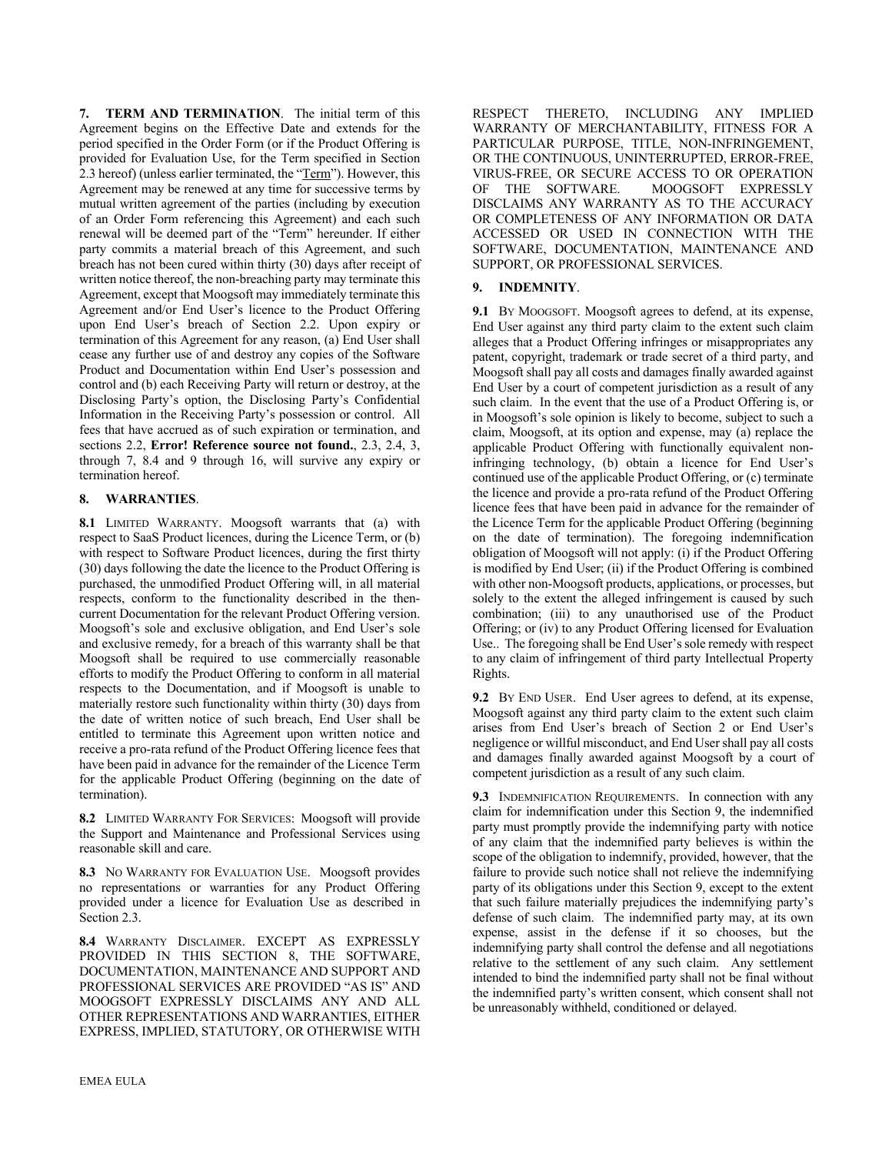**7. TERM AND TERMINATION**. The initial term of this Agreement begins on the Effective Date and extends for the period specified in the Order Form (or if the Product Offering is provided for Evaluation Use, for the Term specified in Section 2.3 hereof) (unless earlier terminated, the "Term"). However, this Agreement may be renewed at any time for successive terms by mutual written agreement of the parties (including by execution of an Order Form referencing this Agreement) and each such renewal will be deemed part of the "Term" hereunder. If either party commits a material breach of this Agreement, and such breach has not been cured within thirty (30) days after receipt of written notice thereof, the non-breaching party may terminate this Agreement, except that Moogsoft may immediately terminate this Agreement and/or End User's licence to the Product Offering upon End User's breach of Section 2.2. Upon expiry or termination of this Agreement for any reason, (a) End User shall cease any further use of and destroy any copies of the Software Product and Documentation within End User's possession and control and (b) each Receiving Party will return or destroy, at the Disclosing Party's option, the Disclosing Party's Confidential Information in the Receiving Party's possession or control. All fees that have accrued as of such expiration or termination, and sections 2.2, **Error! Reference source not found.**, 2.3, 2.4, 3, through 7, 8.4 and 9 through 16, will survive any expiry or termination hereof.

#### **8. WARRANTIES**.

**8.1** LIMITED WARRANTY. Moogsoft warrants that (a) with respect to SaaS Product licences, during the Licence Term, or (b) with respect to Software Product licences, during the first thirty (30) days following the date the licence to the Product Offering is purchased, the unmodified Product Offering will, in all material respects, conform to the functionality described in the thencurrent Documentation for the relevant Product Offering version. Moogsoft's sole and exclusive obligation, and End User's sole and exclusive remedy, for a breach of this warranty shall be that Moogsoft shall be required to use commercially reasonable efforts to modify the Product Offering to conform in all material respects to the Documentation, and if Moogsoft is unable to materially restore such functionality within thirty (30) days from the date of written notice of such breach, End User shall be entitled to terminate this Agreement upon written notice and receive a pro-rata refund of the Product Offering licence fees that have been paid in advance for the remainder of the Licence Term for the applicable Product Offering (beginning on the date of termination).

**8.2** LIMITED WARRANTY FOR SERVICES: Moogsoft will provide the Support and Maintenance and Professional Services using reasonable skill and care.

**8.3** NO WARRANTY FOR EVALUATION USE. Moogsoft provides no representations or warranties for any Product Offering provided under a licence for Evaluation Use as described in Section 2.3.

**8.4** WARRANTY DISCLAIMER. EXCEPT AS EXPRESSLY PROVIDED IN THIS SECTION 8, THE SOFTWARE, DOCUMENTATION, MAINTENANCE AND SUPPORT AND PROFESSIONAL SERVICES ARE PROVIDED "AS IS" AND MOOGSOFT EXPRESSLY DISCLAIMS ANY AND ALL OTHER REPRESENTATIONS AND WARRANTIES, EITHER EXPRESS, IMPLIED, STATUTORY, OR OTHERWISE WITH RESPECT THERETO, INCLUDING ANY IMPLIED WARRANTY OF MERCHANTABILITY, FITNESS FOR A PARTICULAR PURPOSE, TITLE, NON-INFRINGEMENT, OR THE CONTINUOUS, UNINTERRUPTED, ERROR-FREE, VIRUS-FREE, OR SECURE ACCESS TO OR OPERATION OF THE SOFTWARE. MOOGSOFT EXPRESSLY DISCLAIMS ANY WARRANTY AS TO THE ACCURACY OR COMPLETENESS OF ANY INFORMATION OR DATA ACCESSED OR USED IN CONNECTION WITH THE SOFTWARE, DOCUMENTATION, MAINTENANCE AND SUPPORT, OR PROFESSIONAL SERVICES.

#### **9. INDEMNITY**.

**9.1** BY MOOGSOFT. Moogsoft agrees to defend, at its expense, End User against any third party claim to the extent such claim alleges that a Product Offering infringes or misappropriates any patent, copyright, trademark or trade secret of a third party, and Moogsoft shall pay all costs and damages finally awarded against End User by a court of competent jurisdiction as a result of any such claim. In the event that the use of a Product Offering is, or in Moogsoft's sole opinion is likely to become, subject to such a claim, Moogsoft, at its option and expense, may (a) replace the applicable Product Offering with functionally equivalent noninfringing technology, (b) obtain a licence for End User's continued use of the applicable Product Offering, or (c) terminate the licence and provide a pro-rata refund of the Product Offering licence fees that have been paid in advance for the remainder of the Licence Term for the applicable Product Offering (beginning on the date of termination). The foregoing indemnification obligation of Moogsoft will not apply: (i) if the Product Offering is modified by End User; (ii) if the Product Offering is combined with other non-Moogsoft products, applications, or processes, but solely to the extent the alleged infringement is caused by such combination; (iii) to any unauthorised use of the Product Offering; or (iv) to any Product Offering licensed for Evaluation Use.. The foregoing shall be End User's sole remedy with respect to any claim of infringement of third party Intellectual Property Rights.

**9.2** BY END USER. End User agrees to defend, at its expense, Moogsoft against any third party claim to the extent such claim arises from End User's breach of Section 2 or End User's negligence or willful misconduct, and End User shall pay all costs and damages finally awarded against Moogsoft by a court of competent jurisdiction as a result of any such claim.

**9.3** INDEMNIFICATION REQUIREMENTS. In connection with any claim for indemnification under this Section 9, the indemnified party must promptly provide the indemnifying party with notice of any claim that the indemnified party believes is within the scope of the obligation to indemnify, provided, however, that the failure to provide such notice shall not relieve the indemnifying party of its obligations under this Section 9, except to the extent that such failure materially prejudices the indemnifying party's defense of such claim. The indemnified party may, at its own expense, assist in the defense if it so chooses, but the indemnifying party shall control the defense and all negotiations relative to the settlement of any such claim. Any settlement intended to bind the indemnified party shall not be final without the indemnified party's written consent, which consent shall not be unreasonably withheld, conditioned or delayed.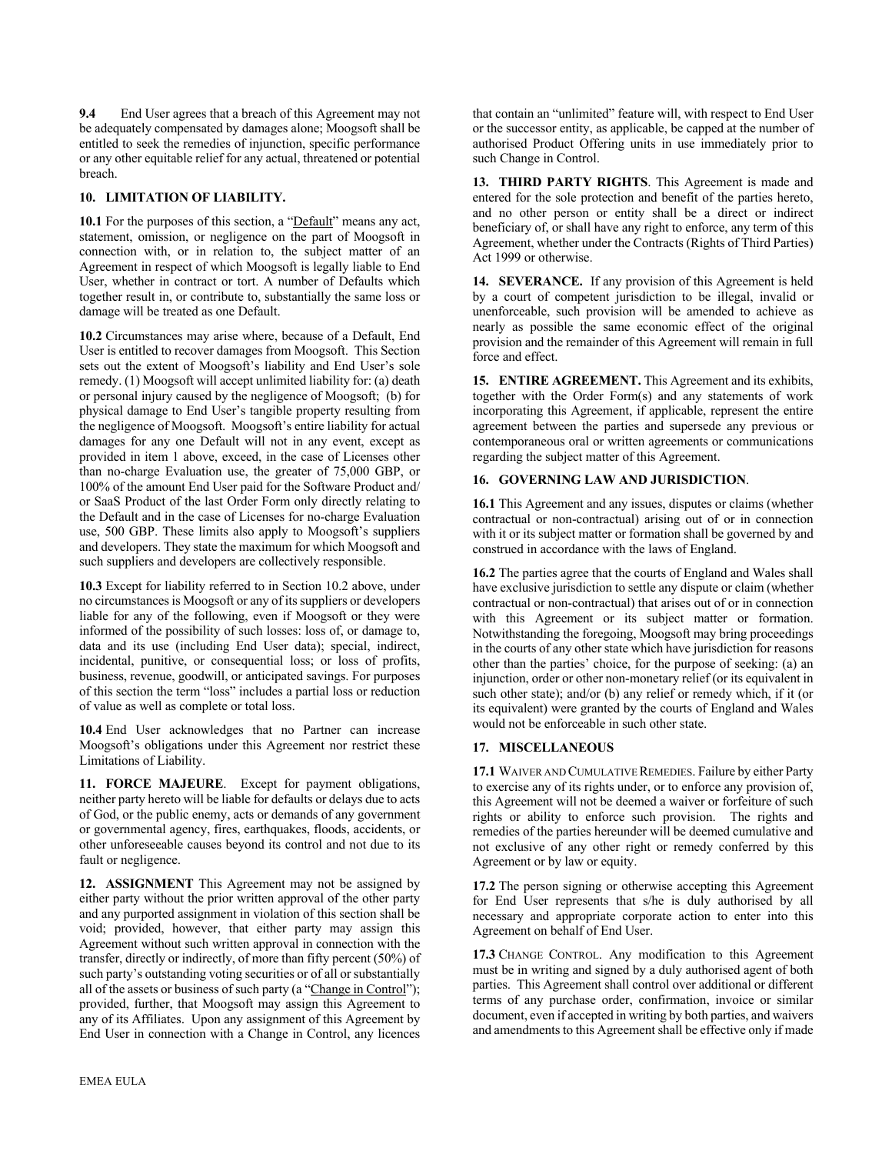**9.4** End User agrees that a breach of this Agreement may not be adequately compensated by damages alone; Moogsoft shall be entitled to seek the remedies of injunction, specific performance or any other equitable relief for any actual, threatened or potential breach.

#### **10. LIMITATION OF LIABILITY.**

**10.1** For the purposes of this section, a "Default" means any act, statement, omission, or negligence on the part of Moogsoft in connection with, or in relation to, the subject matter of an Agreement in respect of which Moogsoft is legally liable to End User, whether in contract or tort. A number of Defaults which together result in, or contribute to, substantially the same loss or damage will be treated as one Default.

**10.2** Circumstances may arise where, because of a Default, End User is entitled to recover damages from Moogsoft. This Section sets out the extent of Moogsoft's liability and End User's sole remedy. (1) Moogsoft will accept unlimited liability for: (a) death or personal injury caused by the negligence of Moogsoft; (b) for physical damage to End User's tangible property resulting from the negligence of Moogsoft. Moogsoft's entire liability for actual damages for any one Default will not in any event, except as provided in item 1 above, exceed, in the case of Licenses other than no-charge Evaluation use, the greater of 75,000 GBP, or 100% of the amount End User paid for the Software Product and/ or SaaS Product of the last Order Form only directly relating to the Default and in the case of Licenses for no-charge Evaluation use, 500 GBP. These limits also apply to Moogsoft's suppliers and developers. They state the maximum for which Moogsoft and such suppliers and developers are collectively responsible.

**10.3** Except for liability referred to in Section 10.2 above, under no circumstances is Moogsoft or any of its suppliers or developers liable for any of the following, even if Moogsoft or they were informed of the possibility of such losses: loss of, or damage to, data and its use (including End User data); special, indirect, incidental, punitive, or consequential loss; or loss of profits, business, revenue, goodwill, or anticipated savings. For purposes of this section the term "loss" includes a partial loss or reduction of value as well as complete or total loss.

**10.4** End User acknowledges that no Partner can increase Moogsoft's obligations under this Agreement nor restrict these Limitations of Liability.

**11. FORCE MAJEURE**. Except for payment obligations, neither party hereto will be liable for defaults or delays due to acts of God, or the public enemy, acts or demands of any government or governmental agency, fires, earthquakes, floods, accidents, or other unforeseeable causes beyond its control and not due to its fault or negligence.

**12. ASSIGNMENT** This Agreement may not be assigned by either party without the prior written approval of the other party and any purported assignment in violation of this section shall be void; provided, however, that either party may assign this Agreement without such written approval in connection with the transfer, directly or indirectly, of more than fifty percent (50%) of such party's outstanding voting securities or of all or substantially all of the assets or business of such party (a "Change in Control"); provided, further, that Moogsoft may assign this Agreement to any of its Affiliates. Upon any assignment of this Agreement by End User in connection with a Change in Control, any licences **13. THIRD PARTY RIGHTS**. This Agreement is made and entered for the sole protection and benefit of the parties hereto, and no other person or entity shall be a direct or indirect beneficiary of, or shall have any right to enforce, any term of this Agreement, whether under the Contracts (Rights of Third Parties) Act 1999 or otherwise.

**14. SEVERANCE.** If any provision of this Agreement is held by a court of competent jurisdiction to be illegal, invalid or unenforceable, such provision will be amended to achieve as nearly as possible the same economic effect of the original provision and the remainder of this Agreement will remain in full force and effect.

**15. ENTIRE AGREEMENT.** This Agreement and its exhibits, together with the Order Form(s) and any statements of work incorporating this Agreement, if applicable, represent the entire agreement between the parties and supersede any previous or contemporaneous oral or written agreements or communications regarding the subject matter of this Agreement.

## **16. GOVERNING LAW AND JURISDICTION**.

**16.1** This Agreement and any issues, disputes or claims (whether contractual or non-contractual) arising out of or in connection with it or its subject matter or formation shall be governed by and construed in accordance with the laws of England.

**16.2** The parties agree that the courts of England and Wales shall have exclusive jurisdiction to settle any dispute or claim (whether contractual or non-contractual) that arises out of or in connection with this Agreement or its subject matter or formation. Notwithstanding the foregoing, Moogsoft may bring proceedings in the courts of any other state which have jurisdiction for reasons other than the parties' choice, for the purpose of seeking: (a) an injunction, order or other non-monetary relief (or its equivalent in such other state); and/or (b) any relief or remedy which, if it (or its equivalent) were granted by the courts of England and Wales would not be enforceable in such other state.

## **17. MISCELLANEOUS**

**17.1** WAIVER AND CUMULATIVE REMEDIES. Failure by either Party to exercise any of its rights under, or to enforce any provision of, this Agreement will not be deemed a waiver or forfeiture of such rights or ability to enforce such provision. The rights and remedies of the parties hereunder will be deemed cumulative and not exclusive of any other right or remedy conferred by this Agreement or by law or equity.

**17.2** The person signing or otherwise accepting this Agreement for End User represents that s/he is duly authorised by all necessary and appropriate corporate action to enter into this Agreement on behalf of End User.

**17.3** CHANGE CONTROL. Any modification to this Agreement must be in writing and signed by a duly authorised agent of both parties. This Agreement shall control over additional or different terms of any purchase order, confirmation, invoice or similar document, even if accepted in writing by both parties, and waivers and amendments to this Agreement shall be effective only if made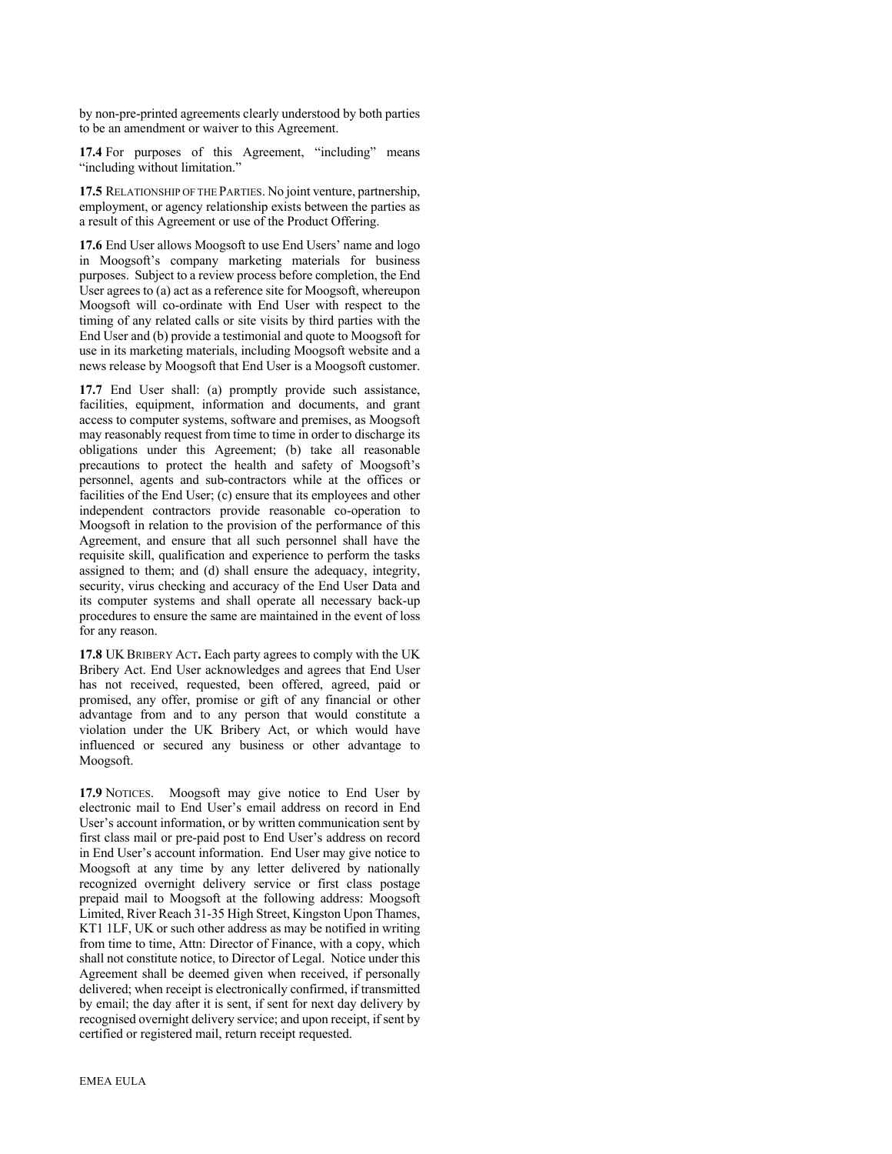by non-pre-printed agreements clearly understood by both parties to be an amendment or waiver to this Agreement.

**17.4** For purposes of this Agreement, "including" means "including without limitation."

**17.5** RELATIONSHIP OF THE PARTIES. No joint venture, partnership, employment, or agency relationship exists between the parties as a result of this Agreement or use of the Product Offering.

**17.6** End User allows Moogsoft to use End Users' name and logo in Moogsoft's company marketing materials for business purposes. Subject to a review process before completion, the End User agrees to (a) act as a reference site for Moogsoft, whereupon Moogsoft will co-ordinate with End User with respect to the timing of any related calls or site visits by third parties with the End User and (b) provide a testimonial and quote to Moogsoft for use in its marketing materials, including Moogsoft website and a news release by Moogsoft that End User is a Moogsoft customer.

**17.7** End User shall: (a) promptly provide such assistance, facilities, equipment, information and documents, and grant access to computer systems, software and premises, as Moogsoft may reasonably request from time to time in order to discharge its obligations under this Agreement; (b) take all reasonable precautions to protect the health and safety of Moogsoft's personnel, agents and sub-contractors while at the offices or facilities of the End User; (c) ensure that its employees and other independent contractors provide reasonable co-operation to Moogsoft in relation to the provision of the performance of this Agreement, and ensure that all such personnel shall have the requisite skill, qualification and experience to perform the tasks assigned to them; and (d) shall ensure the adequacy, integrity, security, virus checking and accuracy of the End User Data and its computer systems and shall operate all necessary back-up procedures to ensure the same are maintained in the event of loss for any reason.

**17.8** UK BRIBERY ACT**.** Each party agrees to comply with the UK Bribery Act. End User acknowledges and agrees that End User has not received, requested, been offered, agreed, paid or promised, any offer, promise or gift of any financial or other advantage from and to any person that would constitute a violation under the UK Bribery Act, or which would have influenced or secured any business or other advantage to Moogsoft.

17.9 NOTICES. Moogsoft may give notice to End User by electronic mail to End User's email address on record in End User's account information, or by written communication sent by first class mail or pre-paid post to End User's address on record in End User's account information. End User may give notice to Moogsoft at any time by any letter delivered by nationally recognized overnight delivery service or first class postage prepaid mail to Moogsoft at the following address: Moogsoft Limited, River Reach 31-35 High Street, Kingston Upon Thames, KT1 1LF, UK or such other address as may be notified in writing from time to time, Attn: Director of Finance, with a copy, which shall not constitute notice, to Director of Legal. Notice under this Agreement shall be deemed given when received, if personally delivered; when receipt is electronically confirmed, if transmitted by email; the day after it is sent, if sent for next day delivery by recognised overnight delivery service; and upon receipt, if sent by certified or registered mail, return receipt requested.